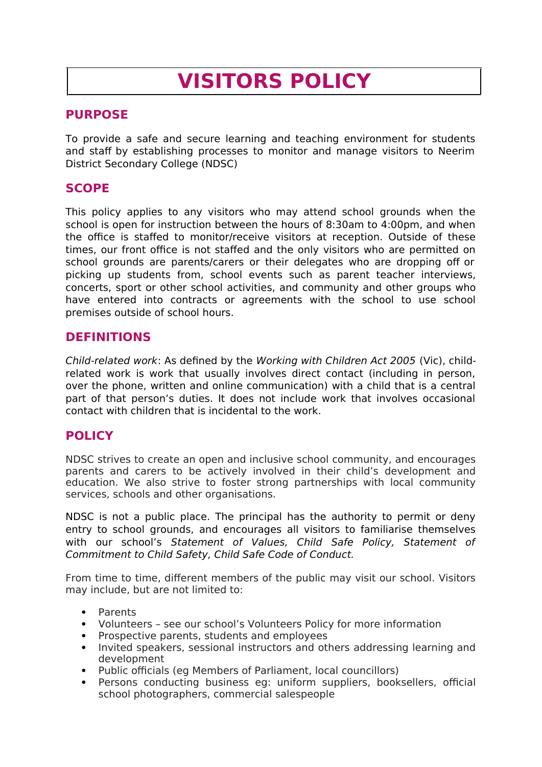# **VISITORS POLICY**

## **PURPOSE**

To provide a safe and secure learning and teaching environment for students and staff by establishing processes to monitor and manage visitors to Neerim District Secondary College (NDSC)

## **SCOPE**

This policy applies to any visitors who may attend school grounds when the school is open for instruction between the hours of 8:30am to 4:00pm, and when the office is staffed to monitor/receive visitors at reception. Outside of these times, our front office is not staffed and the only visitors who are permitted on school grounds are parents/carers or their delegates who are dropping off or picking up students from, school events such as parent teacher interviews, concerts, sport or other school activities, and community and other groups who have entered into contracts or agreements with the school to use school premises outside of school hours.

## **DEFINITIONS**

Child-related work: As defined by the Working with Children Act 2005 (Vic), childrelated work is work that usually involves direct contact (including in person, over the phone, written and online communication) with a child that is a central part of that person's duties. It does not include work that involves occasional contact with children that is incidental to the work.

## **POLICY**

NDSC strives to create an open and inclusive school community, and encourages parents and carers to be actively involved in their child's development and education. We also strive to foster strong partnerships with local community services, schools and other organisations.

NDSC is not a public place. The principal has the authority to permit or deny entry to school grounds, and encourages all visitors to familiarise themselves with our school's Statement of Values, Child Safe Policy, Statement of Commitment to Child Safety, Child Safe Code of Conduct.

From time to time, different members of the public may visit our school. Visitors may include, but are not limited to:

- Parents
- Volunteers see our school's Volunteers Policy for more information
- Prospective parents, students and employees
- Invited speakers, sessional instructors and others addressing learning and development
- Public officials (eg Members of Parliament, local councillors)
- Persons conducting business eg: uniform suppliers, booksellers, official school photographers, commercial salespeople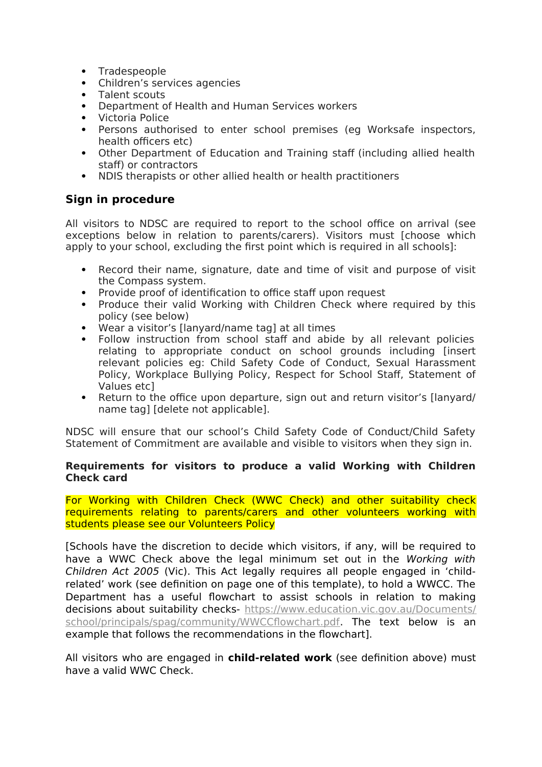- Tradespeople
- Children's services agencies
- Talent scouts
- Department of Health and Human Services workers
- Victoria Police
- Persons authorised to enter school premises (eg Worksafe inspectors, health officers etc)
- Other Department of Education and Training staff (including allied health staff) or contractors
- NDIS therapists or other allied health or health practitioners

## **Sign in procedure**

All visitors to NDSC are required to report to the school office on arrival (see exceptions below in relation to parents/carers). Visitors must [choose which apply to your school, excluding the first point which is required in all schools]:

- Record their name, signature, date and time of visit and purpose of visit the Compass system.
- Provide proof of identification to office staff upon request
- Produce their valid Working with Children Check where required by this policy (see below)
- Wear a visitor's [lanyard/name tag] at all times
- Follow instruction from school staff and abide by all relevant policies relating to appropriate conduct on school grounds including [insert relevant policies eg: Child Safety Code of Conduct, Sexual Harassment Policy, Workplace Bullying Policy, Respect for School Staff, Statement of Values etc]
- Return to the office upon departure, sign out and return visitor's [lanyard/ name tag] [delete not applicable].

NDSC will ensure that our school's Child Safety Code of Conduct/Child Safety Statement of Commitment are available and visible to visitors when they sign in.

#### **Requirements for visitors to produce a valid Working with Children Check card**

For Working with Children Check (WWC Check) and other suitability check requirements relating to parents/carers and other volunteers working with students please see our Volunteers Policy

[Schools have the discretion to decide which visitors, if any, will be required to have a WWC Check above the legal minimum set out in the Working with Children Act 2005 (Vic). This Act legally requires all people engaged in 'childrelated' work (see definition on page one of this template), to hold a WWCC. The Department has a useful flowchart to assist schools in relation to making decisions about suitability checks- [https://www.education.vic.gov.au/Documents/](https://www.education.vic.gov.au/Documents/school/principals/spag/community/WWCCflowchart.pdf) [school/principals/spag/community/WWCCflowchart.pdf.](https://www.education.vic.gov.au/Documents/school/principals/spag/community/WWCCflowchart.pdf) The text below is an example that follows the recommendations in the flowchart].

All visitors who are engaged in **child-related work** (see definition above) must have a valid WWC Check.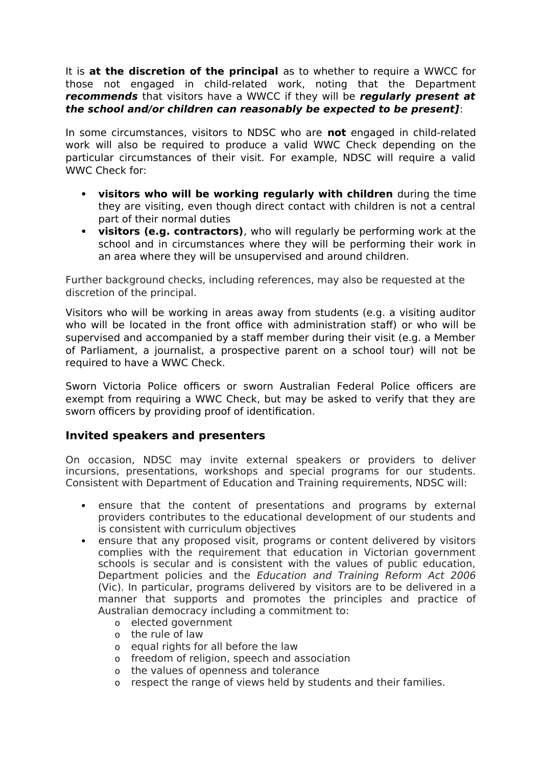It is **at the discretion of the principal** as to whether to require a WWCC for those not engaged in child-related work, noting that the Department **recommends** that visitors have a WWCC if they will be **regularly present at the school and/or children can reasonably be expected to be present]**:

In some circumstances, visitors to NDSC who are **not** engaged in child-related work will also be required to produce a valid WWC Check depending on the particular circumstances of their visit. For example, NDSC will require a valid WWC Check for:

- **visitors who will be working regularly with children** during the time they are visiting, even though direct contact with children is not a central part of their normal duties
- **visitors (e.g. contractors)**, who will regularly be performing work at the school and in circumstances where they will be performing their work in an area where they will be unsupervised and around children.

Further background checks, including references, may also be requested at the discretion of the principal.

Visitors who will be working in areas away from students (e.g. a visiting auditor who will be located in the front office with administration staff) or who will be supervised and accompanied by a staff member during their visit (e.g. a Member of Parliament, a journalist, a prospective parent on a school tour) will not be required to have a WWC Check.

Sworn Victoria Police officers or sworn Australian Federal Police officers are exempt from requiring a WWC Check, but may be asked to verify that they are sworn officers by providing proof of identification.

## **Invited speakers and presenters**

On occasion, NDSC may invite external speakers or providers to deliver incursions, presentations, workshops and special programs for our students. Consistent with Department of Education and Training requirements, NDSC will:

- ensure that the content of presentations and programs by external providers contributes to the educational development of our students and is consistent with curriculum objectives
- ensure that any proposed visit, programs or content delivered by visitors complies with the requirement that education in Victorian government schools is secular and is consistent with the values of public education, Department policies and the Education and Training Reform Act 2006 (Vic). In particular, programs delivered by visitors are to be delivered in a manner that supports and promotes the principles and practice of Australian democracy including a commitment to:
	- o elected government
	- o the rule of law
	- o equal rights for all before the law
	- o freedom of religion, speech and association
	- o the values of openness and tolerance
	- o respect the range of views held by students and their families.